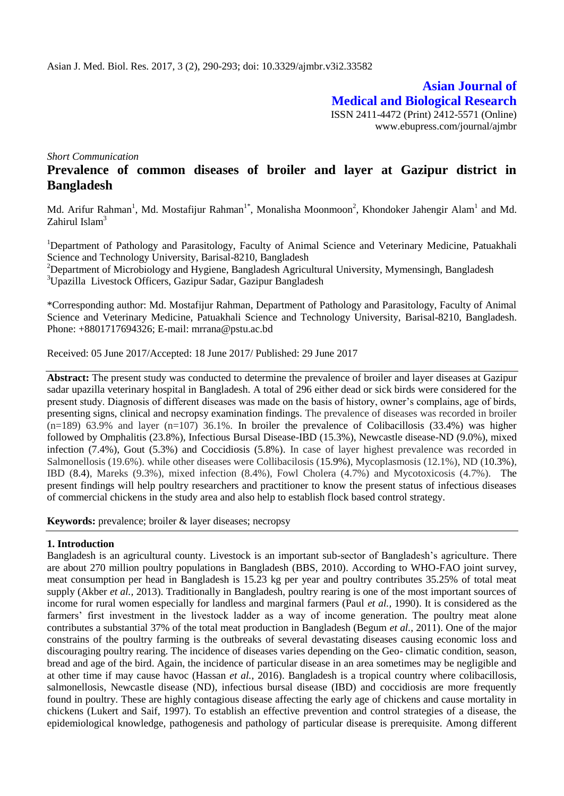**Asian Journal of Medical and Biological Research** ISSN 2411-4472 (Print) 2412-5571 (Online) www.ebupress.com/journal/ajmbr

*Short Communication*

# **Prevalence of common diseases of broiler and layer at Gazipur district in Bangladesh**

Md. Arifur Rahman<sup>1</sup>, Md. Mostafijur Rahman<sup>1\*</sup>, Monalisha Moonmoon<sup>2</sup>, Khondoker Jahengir Alam<sup>1</sup> and Md. Zahirul Islam $3$ 

<sup>1</sup>Department of Pathology and Parasitology, Faculty of Animal Science and Veterinary Medicine, Patuakhali Science and Technology University, Barisal-8210, Bangladesh

<sup>2</sup>Department of Microbiology and Hygiene, Bangladesh Agricultural University, Mymensingh, Bangladesh  $3$ Upazilla Livestock Officers, Gazipur Sadar, Gazipur Bangladesh

\*Corresponding author: Md. Mostafijur Rahman, Department of Pathology and Parasitology, Faculty of Animal Science and Veterinary Medicine, Patuakhali Science and Technology University, Barisal-8210, Bangladesh. Phone: +8801717694326; E-mail: [mrrana@pstu.ac.bd](mailto:mrrana@pstu.ac.bd)

Received: 05 June 2017/Accepted: 18 June 2017/ Published: 29 June 2017

**Abstract:** The present study was conducted to determine the prevalence of broiler and layer diseases at Gazipur sadar upazilla veterinary hospital in Bangladesh. A total of 296 either dead or sick birds were considered for the present study. Diagnosis of different diseases was made on the basis of history, owner's complains, age of birds, presenting signs, clinical and necropsy examination findings. The prevalence of diseases was recorded in broiler  $(n=189)$  63.9% and layer  $(n=107)$  36.1%. In broiler the prevalence of Colibacillosis (33.4%) was higher followed by Omphalitis (23.8%), Infectious Bursal Disease-IBD (15.3%), Newcastle disease-ND (9.0%), mixed infection (7.4%), Gout (5.3%) and Coccidiosis (5.8%). In case of layer highest prevalence was recorded in Salmonellosis (19.6%). while other diseases were Collibacilosis (15.9%), Mycoplasmosis (12.1%), ND (10.3%), IBD (8.4), Mareks (9.3%), mixed infection (8.4%), Fowl Cholera (4.7%) and Mycotoxicosis (4.7%). The present findings will help poultry researchers and practitioner to know the present status of infectious diseases of commercial chickens in the study area and also help to establish flock based control strategy.

Keywords: prevalence; broiler & layer diseases; necropsy

### **1. Introduction**

Bangladesh is an agricultural county. Livestock is an important sub-sector of Bangladesh's agriculture. There are about 270 million poultry populations in Bangladesh (BBS, 2010). According to WHO-FAO joint survey, meat consumption per head in Bangladesh is 15.23 kg per year and poultry contributes 35.25% of total meat supply (Akber *et al.*, 2013). Traditionally in Bangladesh, poultry rearing is one of the most important sources of income for rural women especially for landless and marginal farmers (Paul *et al.,* 1990). It is considered as the farmers' first investment in the livestock ladder as a way of income generation. The poultry meat alone contributes a substantial 37% of the total meat production in Bangladesh (Begum *et al.,* 2011). One of the major constrains of the poultry farming is the outbreaks of several devastating diseases causing economic loss and discouraging poultry rearing. The incidence of diseases varies depending on the Geo- climatic condition, season, bread and age of the bird. Again, the incidence of particular disease in an area sometimes may be negligible and at other time if may cause havoc (Hassan *et al.,* 2016). Bangladesh is a tropical country where colibacillosis, salmonellosis, Newcastle disease (ND), infectious bursal disease (IBD) and coccidiosis are more frequently found in poultry. These are highly contagious disease affecting the early age of chickens and cause mortality in chickens (Lukert and Saif, 1997). To establish an effective prevention and control strategies of a disease, the epidemiological knowledge, pathogenesis and pathology of particular disease is prerequisite. Among different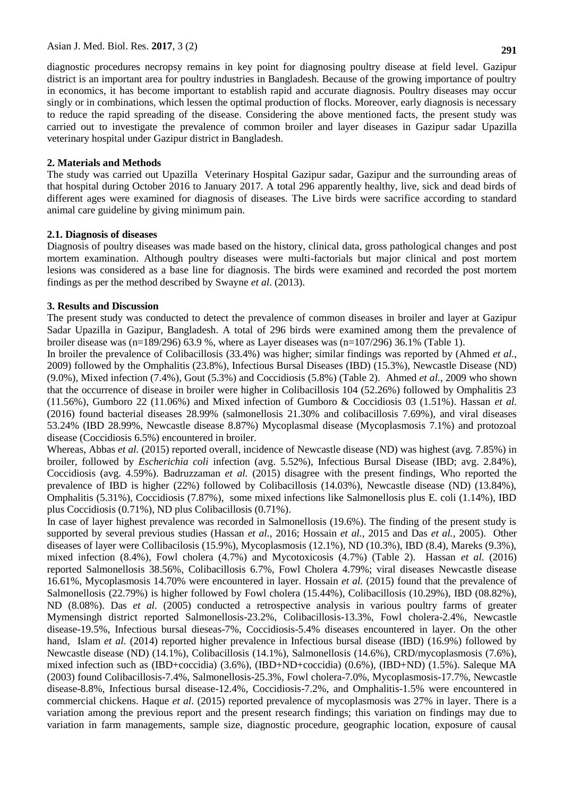diagnostic procedures necropsy remains in key point for diagnosing poultry disease at field level. Gazipur district is an important area for poultry industries in Bangladesh. Because of the growing importance of poultry in economics, it has become important to establish rapid and accurate diagnosis. Poultry diseases may occur singly or in combinations, which lessen the optimal production of flocks. Moreover, early diagnosis is necessary to reduce the rapid spreading of the disease. Considering the above mentioned facts, the present study was carried out to investigate the prevalence of common broiler and layer diseases in Gazipur sadar Upazilla veterinary hospital under Gazipur district in Bangladesh.

## **2. Materials and Methods**

The study was carried out Upazilla Veterinary Hospital Gazipur sadar, Gazipur and the surrounding areas of that hospital during October 2016 to January 2017. A total 296 apparently healthy, live, sick and dead birds of different ages were examined for diagnosis of diseases. The Live birds were sacrifice according to standard animal care guideline by giving minimum pain.

# **2.1. Diagnosis of diseases**

Diagnosis of poultry diseases was made based on the history, clinical data, gross pathological changes and post mortem examination. Although poultry diseases were multi-factorials but major clinical and post mortem lesions was considered as a base line for diagnosis. The birds were examined and recorded the post mortem findings as per the method described by Swayne *et al*. (2013).

# **3. Results and Discussion**

The present study was conducted to detect the prevalence of common diseases in broiler and layer at Gazipur Sadar Upazilla in Gazipur, Bangladesh. A total of 296 birds were examined among them the prevalence of broiler disease was  $(n=189/296)$  63.9 %, where as Layer diseases was  $(n=107/296)$  36.1% (Table 1).

In broiler the prevalence of Colibacillosis (33.4%) was higher; similar findings was reported by (Ahmed *et al.,* 2009) followed by the Omphalitis (23.8%), Infectious Bursal Diseases (IBD) (15.3%), Newcastle Disease (ND) (9.0%), Mixed infection (7.4%), Gout (5.3%) and Coccidiosis (5.8%) (Table 2). Ahmed *et al.,* 2009 who shown that the occurrence of disease in broiler were higher in Colibacillosis 104 (52.26%) followed by Omphalitis 23 (11.56%), Gumboro 22 (11.06%) and Mixed infection of Gumboro & Coccidiosis 03 (1.51%). Hassan *et al.* (2016) found bacterial diseases 28.99% (salmonellosis 21.30% and colibacillosis 7.69%), and viral diseases 53.24% (IBD 28.99%, Newcastle disease 8.87%) Mycoplasmal disease (Mycoplasmosis 7.1%) and protozoal disease (Coccidiosis 6.5%) encountered in broiler.

Whereas, Abbas *et al.* (2015) reported overall, incidence of Newcastle disease (ND) was highest (avg. 7.85%) in broiler, followed by *Escherichia coli* infection (avg. 5.52%), Infectious Bursal Disease (IBD; avg. 2.84%), Coccidiosis (avg. 4.59%). Badruzzaman *et al.* (2015) disagree with the present findings, Who reported the prevalence of IBD is higher (22%) followed by Colibacillosis (14.03%), Newcastle disease (ND) (13.84%), Omphalitis (5.31%), Coccidiosis (7.87%), some mixed infections like Salmonellosis plus E. coli (1.14%), IBD plus Coccidiosis (0.71%), ND plus Colibacillosis (0.71%).

In case of layer highest prevalence was recorded in Salmonellosis (19.6%). The finding of the present study is supported by several previous studies (Hassan *et al.,* 2016; Hossain *et al.,* 2015 and Das *et al.,* 2005). Other diseases of layer were Collibacilosis (15.9%), Mycoplasmosis (12.1%), ND (10.3%), IBD (8.4), Mareks (9.3%), mixed infection (8.4%), Fowl cholera (4.7%) and Mycotoxicosis (4.7%) (Table 2). Hassan *et al.* (2016) reported Salmonellosis 38.56%, Colibacillosis 6.7%, Fowl Cholera 4.79%; viral diseases Newcastle disease 16.61%, Mycoplasmosis 14.70% were encountered in layer. Hossain *et al.* (2015) found that the prevalence of Salmonellosis (22.79%) is higher followed by Fowl cholera (15.44%), Colibacillosis (10.29%), IBD (08.82%), ND (8.08%). Das *et al.* (2005) conducted a retrospective analysis in various poultry farms of greater Mymensingh district reported Salmonellosis-23.2%, Colibacillosis-13.3%, Fowl cholera-2.4%, Newcastle disease-19.5%, Infectious bursal dieseas-7%, Coccidiosis-5.4% diseases encountered in layer. On the other hand, Islam *et al.* (2014) reported higher prevalence in Infectious bursal disease (IBD) (16.9%) followed by Newcastle disease (ND) (14.1%), Colibacillosis (14.1%), Salmonellosis (14.6%), CRD/mycoplasmosis (7.6%), mixed infection such as (IBD+coccidia) (3.6%), (IBD+ND+coccidia) (0.6%), (IBD+ND) (1.5%). Saleque MA (2003) found Colibacillosis-7.4%, Salmonellosis-25.3%, Fowl cholera-7.0%, Mycoplasmosis-17.7%, Newcastle disease-8.8%, Infectious bursal disease-12.4%, Coccidiosis-7.2%, and Omphalitis-1.5% were encountered in commercial chickens. Haque *et al*. (2015) reported prevalence of mycoplasmosis was 27% in layer. There is a variation among the previous report and the present research findings; this variation on findings may due to variation in farm managements, sample size, diagnostic procedure, geographic location, exposure of causal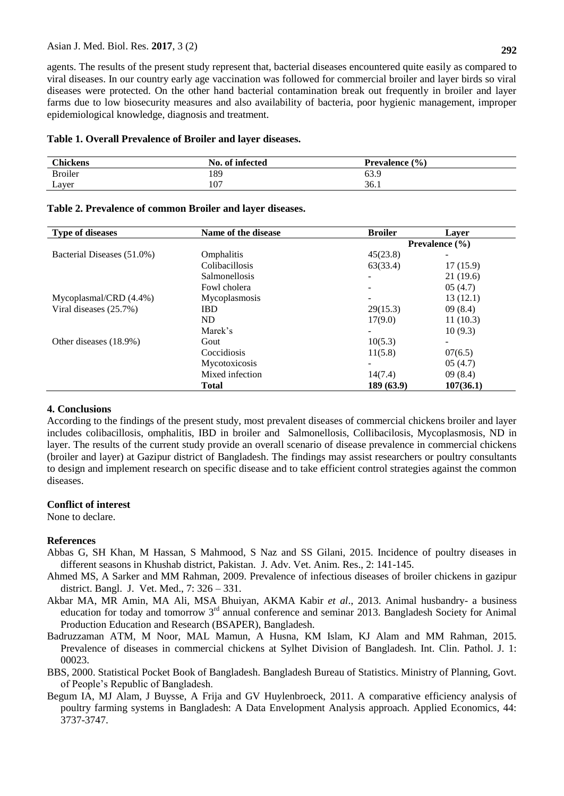### Asian J. Med. Biol. Res. **2017**, 3 (2)

agents. The results of the present study represent that, bacterial diseases encountered quite easily as compared to viral diseases. In our country early age vaccination was followed for commercial broiler and layer birds so viral diseases were protected. On the other hand bacterial contamination break out frequently in broiler and layer farms due to low biosecurity measures and also availability of bacteria, poor hygienic management, improper epidemiological knowledge, diagnosis and treatment.

#### **Table 1. Overall Prevalence of Broiler and layer diseases.**

| <b>Chickens</b> | No. of infected | <b>Prevalence</b> $(\% )$ |
|-----------------|-----------------|---------------------------|
| <b>Broiler</b>  | 189             | 63.9                      |
| Layer           | 107             | 36.1                      |

| <b>Type of diseases</b>    | Name of the disease  | <b>Broiler</b>            | Laver     |
|----------------------------|----------------------|---------------------------|-----------|
|                            |                      | <b>Prevalence</b> $(\% )$ |           |
| Bacterial Diseases (51.0%) | Omphalitis           | 45(23.8)                  |           |
|                            | Colibacillosis       | 63(33.4)                  | 17(15.9)  |
|                            | <b>Salmonellosis</b> | $\overline{\phantom{0}}$  | 21(19.6)  |
|                            | Fowl cholera         |                           | 05(4.7)   |
| Mycoplasmal/CRD $(4.4\%)$  | Mycoplasmosis        |                           | 13(12.1)  |
| Viral diseases $(25.7\%)$  | <b>IBD</b>           | 29(15.3)                  | 09(8.4)   |
|                            | ND.                  | 17(9.0)                   | 11(10.3)  |
|                            | Marek's              |                           | 10(9.3)   |
| Other diseases (18.9%)     | Gout                 | 10(5.3)                   |           |
|                            | Coccidiosis          | 11(5.8)                   | 07(6.5)   |
|                            | Mycotoxicosis        |                           | 05(4.7)   |
|                            | Mixed infection      | 14(7.4)                   | 09(8.4)   |
|                            | <b>Total</b>         | 189(63.9)                 | 107(36.1) |

#### **Table 2. Prevalence of common Broiler and layer diseases.**

### **4. Conclusions**

According to the findings of the present study, most prevalent diseases of commercial chickens broiler and layer includes colibacillosis, omphalitis, IBD in broiler and Salmonellosis, Collibacilosis, Mycoplasmosis, ND in layer. The results of the current study provide an overall scenario of disease prevalence in commercial chickens (broiler and layer) at Gazipur district of Bangladesh. The findings may assist researchers or poultry consultants to design and implement research on specific disease and to take efficient control strategies against the common diseases.

### **Conflict of interest**

None to declare.

#### **References**

- Abbas G, SH Khan, M Hassan, S Mahmood, S Naz and SS Gilani, 2015. Incidence of poultry diseases in different seasons in Khushab district, Pakistan. J. Adv. Vet. Anim. Res., 2: 141-145.
- Ahmed MS, A Sarker and MM Rahman, 2009. Prevalence of infectious diseases of broiler chickens in gazipur district. Bangl. J. Vet. Med., 7: 326 – 331.
- Akbar MA, MR Amin, MA Ali, MSA Bhuiyan, AKMA Kabir *et al*., 2013. Animal husbandry- a business education for today and tomorrow 3<sup>rd</sup> annual conference and seminar 2013. Bangladesh Society for Animal Production Education and Research (BSAPER), Bangladesh.
- Badruzzaman ATM, M Noor, MAL Mamun, A Husna, KM Islam, KJ Alam and MM Rahman, 2015. Prevalence of diseases in commercial chickens at Sylhet Division of Bangladesh. Int. Clin. Pathol. J. 1: 00023.
- BBS, 2000. Statistical Pocket Book of Bangladesh. Bangladesh Bureau of Statistics. Ministry of Planning, Govt. of People's Republic of Bangladesh.
- Begum IA, MJ Alam, J Buysse, A Frija and GV Huylenbroeck, 2011. A comparative efficiency analysis of poultry farming systems in Bangladesh: A Data Envelopment Analysis approach. Applied Economics, 44: 3737-3747.